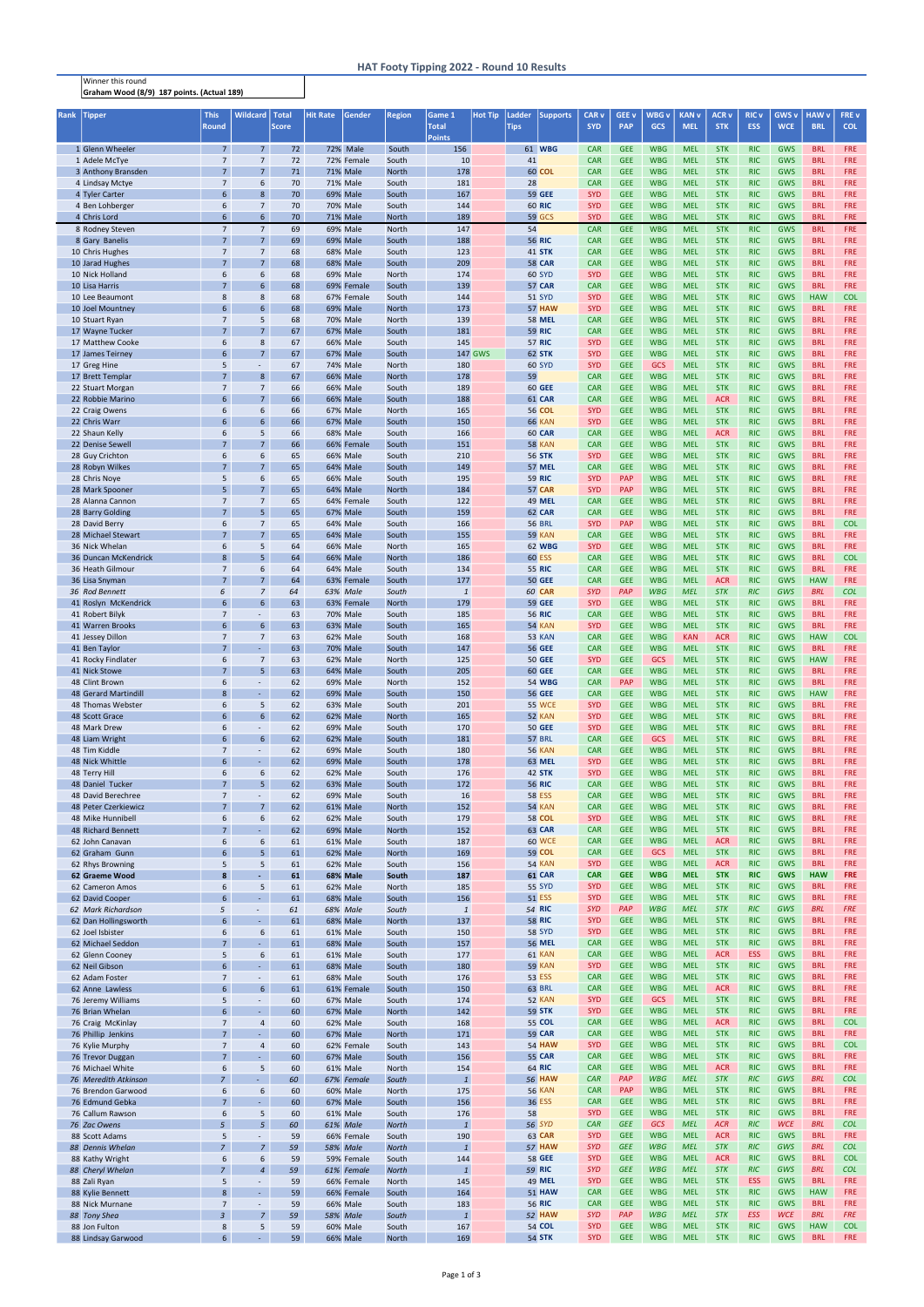Winner this round Graham Wood (8/9) 187 points. (Actual 189)

| Rank | <b>Tipper</b>                             | <b>This</b><br><b>Round</b>       | <b>Wildcard</b>                  | <b>Total</b><br><b>Score</b> | <b>Hit Rate</b> | Gender                        | <b>Region</b>         | Game 1<br><b>Total</b>    | <b>Hot Tip</b> | Ladder<br><b>Tips</b> | <b>Supports</b>                | <b>CAR v</b><br><b>SYD</b> | <b>GEE v</b><br><b>PAP</b> | <b>WBG</b> v<br><b>GCS</b> | <b>KAN v</b><br><b>MEL</b> | <b>ACR v</b><br><b>STK</b> | <b>RIC v</b><br><b>ESS</b> | <b>GWS v</b><br><b>WCE</b> | <b>HAW</b> v<br><b>BRL</b> | FRE v<br><b>COL</b>      |
|------|-------------------------------------------|-----------------------------------|----------------------------------|------------------------------|-----------------|-------------------------------|-----------------------|---------------------------|----------------|-----------------------|--------------------------------|----------------------------|----------------------------|----------------------------|----------------------------|----------------------------|----------------------------|----------------------------|----------------------------|--------------------------|
|      | 1 Glenn Wheeler                           | 7 <sup>7</sup>                    | 7 <sup>7</sup>                   | 72                           |                 | 72% Male                      | South                 | <b>Points</b><br>156      |                |                       | 61 WBG                         | <b>CAR</b>                 | <b>GEE</b>                 | <b>WBG</b>                 | <b>MEL</b>                 | <b>STK</b>                 | <b>RIC</b>                 | <b>GWS</b>                 | <b>BRL</b>                 | <b>FRE</b>               |
|      | 1 Adele McTye                             | $\overline{7}$                    | $\overline{7}$                   | 72                           |                 | 72% Female                    | South                 | 10                        |                | 41                    |                                | <b>CAR</b>                 | <b>GEE</b>                 | <b>WBG</b>                 | <b>MEL</b>                 | <b>STK</b>                 | <b>RIC</b>                 | <b>GWS</b>                 | <b>BRL</b>                 | <b>FRE</b>               |
|      | 3 Anthony Bransden                        | $7^{\circ}$                       | 7 <sup>7</sup>                   | 71                           |                 | <b>71% Male</b>               | <b>North</b>          | 178                       |                |                       | 60 COL                         | <b>CAR</b>                 | <b>GEE</b>                 | <b>WBG</b>                 | <b>MEL</b>                 | <b>STK</b>                 | <b>RIC</b>                 | GWS                        | <b>BRL</b>                 | <b>FRE</b>               |
|      | 4 Lindsay Mctye                           | $\overline{7}$<br>6               | 6<br>8                           | 70                           |                 | <b>71% Male</b>               | South                 | 181                       |                | 28                    |                                | <b>CAR</b><br><b>SYD</b>   | <b>GEE</b><br><b>GEE</b>   | <b>WBG</b><br><b>WBG</b>   | <b>MEL</b><br><b>MEL</b>   | <b>STK</b><br><b>STK</b>   | <b>RIC</b><br><b>RIC</b>   | <b>GWS</b><br><b>GWS</b>   | <b>BRL</b><br><b>BRL</b>   | <b>FRE</b><br><b>FRE</b> |
|      | 4 Tyler Carter<br>4 Ben Lohberger         | 6                                 | $\overline{7}$                   | 70<br>70                     |                 | <b>69% Male</b><br>70% Male   | South<br>South        | 167<br>144                |                |                       | <b>59 GEE</b><br><b>60 RIC</b> | <b>SYD</b>                 | <b>GEE</b>                 | <b>WBG</b>                 | <b>MEL</b>                 | <b>STK</b>                 | <b>RIC</b>                 | GWS                        | <b>BRL</b>                 | <b>FRE</b>               |
|      | 4 Chris Lord                              | 6 <sup>1</sup>                    | 6 <sup>1</sup>                   | 70                           |                 | 71% Male                      | <b>North</b>          | 189                       |                |                       | <b>59 GCS</b>                  | <b>SYD</b>                 | <b>GEE</b>                 | <b>WBG</b>                 | <b>MEL</b>                 | <b>STK</b>                 | <b>RIC</b>                 | <b>GWS</b>                 | <b>BRL</b>                 | <b>FRE</b>               |
|      | 8 Rodney Steven                           | $\overline{7}$                    | $7\overline{ }$                  | 69                           |                 | 69% Male                      | <b>North</b>          | 147                       |                | 54                    |                                | <b>CAR</b>                 | <b>GEE</b>                 | <b>WBG</b>                 | <b>MEL</b>                 | <b>STK</b>                 | <b>RIC</b>                 | <b>GWS</b>                 | <b>BRL</b>                 | <b>FRE</b>               |
|      | 8 Gary Banelis                            | $7^{\circ}$                       | 7 <sup>7</sup>                   | 69                           |                 | <b>69% Male</b>               | South                 | 188                       |                |                       | <b>56 RIC</b>                  | <b>CAR</b>                 | <b>GEE</b>                 | <b>WBG</b>                 | <b>MEL</b>                 | <b>STK</b>                 | <b>RIC</b>                 | <b>GWS</b>                 | <b>BRL</b>                 | <b>FRE</b>               |
|      | 10 Chris Hughes<br>10 Jarad Hughes        | $\overline{7}$<br>$\overline{7}$  | $\overline{7}$<br>7 <sup>7</sup> | 68<br>68                     |                 | 68% Male<br>68% Male          | South<br>South        | 123<br>209                |                |                       | <b>41 STK</b><br><b>58 CAR</b> | <b>CAR</b><br><b>CAR</b>   | <b>GEE</b><br><b>GEE</b>   | <b>WBG</b><br><b>WBG</b>   | <b>MEL</b><br><b>MEL</b>   | <b>STK</b><br><b>STK</b>   | <b>RIC</b><br><b>RIC</b>   | GWS<br><b>GWS</b>          | <b>BRL</b><br><b>BRL</b>   | <b>FRE</b><br><b>FRE</b> |
|      | 10 Nick Holland                           | 6                                 | 6                                | 68                           |                 | 69% Male                      | North                 | 174                       |                |                       | <b>60 SYD</b>                  | <b>SYD</b>                 | <b>GEE</b>                 | <b>WBG</b>                 | <b>MEL</b>                 | <b>STK</b>                 | <b>RIC</b>                 | <b>GWS</b>                 | <b>BRL</b>                 | <b>FRE</b>               |
|      | 10 Lisa Harris                            | $7\overline{ }$                   | $6\overline{6}$                  | 68                           |                 | 69% Female                    | South                 | 139                       |                |                       | 57 CAR                         | <b>CAR</b>                 | <b>GEE</b>                 | <b>WBG</b>                 | <b>MEL</b>                 | <b>STK</b>                 | <b>RIC</b>                 | <b>GWS</b>                 | <b>BRL</b>                 | <b>FRE</b>               |
|      | 10 Lee Beaumont                           | 8                                 | 8                                | 68                           |                 | 67% Female                    | South                 | 144                       |                |                       | <b>51 SYD</b>                  | <b>SYD</b>                 | <b>GEE</b>                 | <b>WBG</b>                 | <b>MEL</b>                 | <b>STK</b>                 | <b>RIC</b>                 | GWS                        | <b>HAW</b>                 | <b>COL</b>               |
|      | 10 Joel Mountney<br>10 Stuart Ryan        | $6\overline{6}$<br>$\overline{7}$ | $6\overline{6}$<br>5             | 68<br>68                     |                 | 69% Male<br>70% Male          | <b>North</b><br>North | 173<br>139                |                |                       | <b>57 HAW</b><br><b>58 MEL</b> | <b>SYD</b><br><b>CAR</b>   | <b>GEE</b><br><b>GEE</b>   | <b>WBG</b><br><b>WBG</b>   | <b>MEL</b><br><b>MEL</b>   | <b>STK</b><br><b>STK</b>   | <b>RIC</b><br><b>RIC</b>   | <b>GWS</b><br>GWS          | <b>BRL</b><br><b>BRL</b>   | <b>FRE</b><br><b>FRE</b> |
|      | 17 Wayne Tucker                           | $\overline{7}$                    | $\overline{7}$                   | 67                           |                 | <b>67% Male</b>               | South                 | 181                       |                |                       | <b>59 RIC</b>                  | <b>CAR</b>                 | <b>GEE</b>                 | <b>WBG</b>                 | <b>MEL</b>                 | <b>STK</b>                 | <b>RIC</b>                 | <b>GWS</b>                 | <b>BRL</b>                 | <b>FRE</b>               |
|      | 17 Matthew Cooke                          | 6                                 | 8                                | 67                           |                 | 66% Male                      | South                 | 145                       |                |                       | <b>57 RIC</b>                  | <b>SYD</b>                 | <b>GEE</b>                 | <b>WBG</b>                 | <b>MEL</b>                 | <b>STK</b>                 | <b>RIC</b>                 | <b>GWS</b>                 | <b>BRL</b>                 | <b>FRE</b>               |
|      | 17 James Teirney                          | 6                                 | $\overline{7}$                   | 67                           |                 | 67% Male                      | South                 |                           | <b>147 GWS</b> |                       | 62 STK                         | <b>SYD</b>                 | <b>GEE</b>                 | <b>WBG</b>                 | <b>MEL</b>                 | <b>STK</b>                 | <b>RIC</b>                 | GWS                        | <b>BRL</b>                 | <b>FRE</b>               |
|      | 17 Greg Hine<br>17 Brett Templar          | 5<br>7 <sup>1</sup>               | 8                                | 67<br>67                     |                 | 74% Male<br><b>66% Male</b>   | North<br><b>North</b> | 180<br>178                |                | 59                    | <b>60 SYD</b>                  | <b>SYD</b><br><b>CAR</b>   | <b>GEE</b><br><b>GEE</b>   | <b>GCS</b><br><b>WBG</b>   | <b>MEL</b><br><b>MEL</b>   | <b>STK</b><br><b>STK</b>   | <b>RIC</b><br><b>RIC</b>   | <b>GWS</b><br><b>GWS</b>   | <b>BRL</b><br><b>BRL</b>   | <b>FRE</b><br><b>FRE</b> |
|      | 22 Stuart Morgan                          | $\overline{7}$                    | $\overline{7}$                   | 66                           |                 | 66% Male                      | South                 | 189                       |                |                       | <b>60 GEE</b>                  | <b>CAR</b>                 | <b>GEE</b>                 | <b>WBG</b>                 | <b>MEL</b>                 | <b>STK</b>                 | <b>RIC</b>                 | <b>GWS</b>                 | <b>BRL</b>                 | <b>FRE</b>               |
|      | 22 Robbie Marino                          | 6                                 | $\overline{7}$                   | 66                           |                 | <b>66% Male</b>               | South                 | 188                       |                |                       | 61 CAR                         | <b>CAR</b>                 | <b>GEE</b>                 | <b>WBG</b>                 | <b>MEL</b>                 | <b>ACR</b>                 | <b>RIC</b>                 | <b>GWS</b>                 | <b>BRL</b>                 | <b>FRE</b>               |
|      | 22 Craig Owens                            | 6<br>6                            | 6<br>$6\overline{6}$             | 66<br>66                     |                 | <b>67% Male</b>               | North                 | 165                       |                |                       | <b>56 COL</b>                  | <b>SYD</b><br><b>SYD</b>   | <b>GEE</b><br><b>GEE</b>   | <b>WBG</b><br><b>WBG</b>   | <b>MEL</b><br><b>MEL</b>   | <b>STK</b><br><b>STK</b>   | <b>RIC</b><br><b>RIC</b>   | <b>GWS</b><br><b>GWS</b>   | <b>BRL</b><br><b>BRL</b>   | <b>FRE</b><br><b>FRE</b> |
|      | 22 Chris Warr<br>22 Shaun Kelly           | 6                                 | 5                                | 66                           |                 | <b>67% Male</b><br>68% Male   | South<br>South        | 150<br>166                |                |                       | <b>66 KAN</b><br>60 CAR        | <b>CAR</b>                 | <b>GEE</b>                 | <b>WBG</b>                 | <b>MEL</b>                 | <b>ACR</b>                 | <b>RIC</b>                 | <b>GWS</b>                 | <b>BRL</b>                 | <b>FRE</b>               |
|      | 22 Denise Sewell                          | $7\overline{ }$                   | 7 <sup>7</sup>                   | 66                           |                 | 66% Female                    | South                 | 151                       |                |                       | <b>58 KAN</b>                  | <b>CAR</b>                 | <b>GEE</b>                 | <b>WBG</b>                 | <b>MEL</b>                 | <b>STK</b>                 | <b>RIC</b>                 | <b>GWS</b>                 | <b>BRL</b>                 | <b>FRE</b>               |
|      | 28 Guy Crichton                           | 6                                 | 6                                | 65                           |                 | <b>66% Male</b>               | South                 | 210                       |                |                       | <b>56 STK</b>                  | <b>SYD</b>                 | <b>GEE</b>                 | <b>WBG</b>                 | <b>MEL</b>                 | <b>STK</b>                 | <b>RIC</b>                 | <b>GWS</b>                 | <b>BRL</b>                 | <b>FRE</b>               |
|      | 28 Robyn Wilkes                           | $\overline{7}$                    | $\overline{7}$                   | 65                           |                 | 64% Male                      | South                 | 149                       |                |                       | 57 MEL                         | <b>CAR</b>                 | <b>GEE</b>                 | <b>WBG</b>                 | <b>MEL</b>                 | <b>STK</b>                 | <b>RIC</b>                 | <b>GWS</b>                 | <b>BRL</b>                 | <b>FRE</b>               |
|      | 28 Chris Noye<br>28 Mark Spooner          | 5<br>5                            | 6<br>$\overline{7}$              | 65<br>65                     |                 | 66% Male<br>64% Male          | South<br>North        | 195<br>184                |                |                       | <b>59 RIC</b><br>57 CAR        | <b>SYD</b><br><b>SYD</b>   | <b>PAP</b><br><b>PAP</b>   | <b>WBG</b><br><b>WBG</b>   | <b>MEL</b><br><b>MEL</b>   | <b>STK</b><br><b>STK</b>   | <b>RIC</b><br><b>RIC</b>   | <b>GWS</b><br><b>GWS</b>   | <b>BRL</b><br><b>BRL</b>   | <b>FRE</b><br><b>FRE</b> |
|      | 28 Alanna Cannon                          | $\overline{7}$                    | $\overline{7}$                   | 65                           |                 | 64% Female                    | South                 | 122                       |                |                       | <b>49 MEL</b>                  | <b>CAR</b>                 | <b>GEE</b>                 | <b>WBG</b>                 | <b>MEL</b>                 | <b>STK</b>                 | <b>RIC</b>                 | <b>GWS</b>                 | <b>BRL</b>                 | <b>FRE</b>               |
|      | 28 Barry Golding                          | $\overline{7}$                    | 5 <sup>1</sup>                   | 65                           |                 | <b>67% Male</b>               | South                 | 159                       |                |                       | 62 CAR                         | <b>CAR</b>                 | <b>GEE</b>                 | <b>WBG</b>                 | <b>MEL</b>                 | <b>STK</b>                 | <b>RIC</b>                 | <b>GWS</b>                 | <b>BRL</b>                 | <b>FRE</b>               |
|      | 28 David Berry                            | 6                                 | $\overline{7}$                   | 65                           |                 | 64% Male                      | South                 | 166                       |                |                       | <b>56 BRL</b>                  | <b>SYD</b>                 | <b>PAP</b>                 | <b>WBG</b>                 | <b>MEL</b>                 | <b>STK</b>                 | <b>RIC</b>                 | <b>GWS</b>                 | <b>BRL</b>                 | <b>COL</b>               |
|      | 28 Michael Stewart<br>36 Nick Whelan      | 6                                 | $\overline{7}$<br>5              | 65<br>64                     |                 | 64% Male<br>66% Male          | South<br>North        | 155<br>165                |                |                       | <b>59 KAN</b><br><b>62 WBG</b> | <b>CAR</b><br><b>SYD</b>   | <b>GEE</b><br><b>GEE</b>   | <b>WBG</b><br><b>WBG</b>   | <b>MEL</b><br><b>MEL</b>   | <b>STK</b><br><b>STK</b>   | <b>RIC</b><br><b>RIC</b>   | <b>GWS</b><br><b>GWS</b>   | <b>BRL</b><br><b>BRL</b>   | <b>FRE</b><br><b>FRE</b> |
|      | 36 Duncan McKendrick                      | 8                                 | 5 <sup>1</sup>                   | 64                           |                 | 66% Male                      | <b>North</b>          | 186                       |                |                       | <b>60 ESS</b>                  | <b>CAR</b>                 | <b>GEE</b>                 | <b>WBG</b>                 | <b>MEL</b>                 | <b>STK</b>                 | <b>RIC</b>                 | <b>GWS</b>                 | <b>BRL</b>                 | <b>COL</b>               |
|      | 36 Heath Gilmour                          | $\overline{7}$                    | 6                                | 64                           |                 | 64% Male                      | South                 | 134                       |                |                       | <b>55 RIC</b>                  | <b>CAR</b>                 | <b>GEE</b>                 | <b>WBG</b>                 | <b>MEL</b>                 | <b>STK</b>                 | <b>RIC</b>                 | <b>GWS</b>                 | <b>BRL</b>                 | <b>FRE</b>               |
|      | 36 Lisa Snyman                            | $\overline{7}$                    | $\overline{7}$                   | 64                           |                 | 63% Female                    | South                 | 177                       |                |                       | <b>50 GEE</b>                  | <b>CAR</b>                 | <b>GEE</b>                 | <b>WBG</b>                 | <b>MEL</b>                 | <b>ACR</b>                 | <b>RIC</b>                 | <b>GWS</b>                 | <b>HAW</b>                 | <b>FRE</b>               |
|      | 36 Rod Bennett<br>41 Roslyn McKendrick    | 6<br>$\mathsf{f}$                 | $\overline{7}$<br>$6\phantom{1}$ | 64<br>63                     |                 | 63% Male<br>63% Female        | South<br>North        | $\mathbf{1}$<br>179       |                |                       | <b>60 CAR</b><br><b>59 GEE</b> | <b>SYD</b><br><b>SYD</b>   | PAP<br><b>GEE</b>          | <b>WBG</b><br><b>WBG</b>   | <b>MEL</b><br><b>MEL</b>   | <b>STK</b><br><b>STK</b>   | <b>RIC</b><br><b>RIC</b>   | GWS<br>GWS                 | <b>BRL</b><br><b>BRL</b>   | <b>COL</b><br><b>FRE</b> |
|      | 41 Robert Bilyk                           | $\overline{7}$                    |                                  | 63                           |                 | 70% Male                      | South                 | 185                       |                |                       | <b>56 RIC</b>                  | <b>CAR</b>                 | <b>GEE</b>                 | <b>WBG</b>                 | <b>MEL</b>                 | <b>STK</b>                 | <b>RIC</b>                 | <b>GWS</b>                 | <b>BRL</b>                 | <b>FRE</b>               |
|      | 41 Warren Brooks                          | 6                                 | $6\overline{6}$                  | 63                           |                 | 63% Male                      | South                 | 165                       |                |                       | <b>54 KAN</b>                  | <b>SYD</b>                 | <b>GEE</b>                 | <b>WBG</b>                 | <b>MEL</b>                 | <b>STK</b>                 | <b>RIC</b>                 | <b>GWS</b>                 | <b>BRL</b>                 | <b>FRE</b>               |
|      | 41 Jessey Dillon                          | $\overline{7}$                    | $\overline{7}$                   | 63                           |                 | 62% Male                      | South                 | 168                       |                |                       | <b>53 KAN</b>                  | <b>CAR</b>                 | <b>GEE</b>                 | <b>WBG</b>                 | <b>KAN</b>                 | <b>ACR</b>                 | <b>RIC</b>                 | <b>GWS</b>                 | <b>HAW</b>                 | <b>COL</b>               |
|      | 41 Ben Taylor<br>41 Rocky Findlater       | $7^{\circ}$<br>6                  | $\overline{7}$                   | 63<br>63                     |                 | <b>70% Male</b><br>62% Male   | South<br>North        | 147<br>125                |                |                       | <b>56 GEE</b><br><b>50 GEE</b> | <b>CAR</b><br><b>SYD</b>   | <b>GEE</b><br><b>GEE</b>   | <b>WBG</b><br><b>GCS</b>   | <b>MEL</b><br><b>MEL</b>   | <b>STK</b><br><b>STK</b>   | <b>RIC</b><br><b>RIC</b>   | <b>GWS</b><br><b>GWS</b>   | <b>BRL</b><br><b>HAW</b>   | <b>FRE</b><br><b>FRE</b> |
|      | 41 Nick Stowe                             | $\overline{7}$                    | 5                                | 63                           |                 | 64% Male                      | South                 | 205                       |                |                       | <b>60 GEE</b>                  | <b>CAR</b>                 | <b>GEE</b>                 | <b>WBG</b>                 | <b>MEL</b>                 | <b>STK</b>                 | <b>RIC</b>                 | <b>GWS</b>                 | <b>BRL</b>                 | <b>FRE</b>               |
|      | 48 Clint Brown                            | 6                                 |                                  | 62                           |                 | 69% Male                      | North                 | 152                       |                |                       | <b>54 WBG</b>                  | <b>CAR</b>                 | <b>PAP</b>                 | <b>WBG</b>                 | <b>MEL</b>                 | <b>STK</b>                 | <b>RIC</b>                 | <b>GWS</b>                 | <b>BRL</b>                 | <b>FRE</b>               |
|      | 48 Gerard Martindill                      | 8                                 |                                  | 62                           |                 | <b>69% Male</b>               | South                 | 150                       |                |                       | <b>56 GEE</b>                  | <b>CAR</b>                 | <b>GEE</b>                 | <b>WBG</b>                 | <b>MEL</b>                 | <b>STK</b>                 | <b>RIC</b>                 | <b>GWS</b>                 | <b>HAW</b>                 | <b>FRE</b>               |
|      | 48 Thomas Webster<br>48 Scott Grace       | 6<br>6                            | 5<br>6 <sup>1</sup>              | 62<br>62                     |                 | 63% Male<br>62% Male          | South<br><b>North</b> | 201<br>165                |                |                       | <b>55 WCE</b><br>52 KAN        | <b>SYD</b><br><b>SYD</b>   | <b>GEE</b><br><b>GEE</b>   | <b>WBG</b><br><b>WBG</b>   | <b>MEL</b><br><b>MEL</b>   | <b>STK</b><br><b>STK</b>   | <b>RIC</b><br><b>RIC</b>   | <b>GWS</b><br><b>GWS</b>   | <b>BRL</b><br><b>BRL</b>   | <b>FRE</b><br><b>FRE</b> |
|      | 48 Mark Drew                              | 6                                 |                                  | 62                           |                 | 69% Male                      | South                 | 170                       |                |                       | <b>50 GEE</b>                  | <b>SYD</b>                 | <b>GEE</b>                 | <b>WBG</b>                 | <b>MEL</b>                 | <b>STK</b>                 | <b>RIC</b>                 | <b>GWS</b>                 | <b>BRL</b>                 | <b>FRE</b>               |
|      | 48 Liam Wright                            | $6\overline{6}$                   | $6\overline{6}$                  | 62                           |                 | 62% Male                      | South                 | 181                       |                |                       | 57 BRL                         | <b>CAR</b>                 | <b>GEE</b>                 | <b>GCS</b>                 | <b>MEL</b>                 | <b>STK</b>                 | <b>RIC</b>                 | GWS                        | <b>BRL</b>                 | <b>FRE</b>               |
|      | 48 Tim Kiddle<br>48 Nick Whittle          | $\overline{7}$<br>6               | $\omega$                         | 62<br>62                     |                 | 69% Male<br>69% Male          | South<br>South        | 180<br>178                |                |                       | <b>56 KAN</b><br><b>63 MEL</b> | <b>CAR</b><br><b>SYD</b>   | <b>GEE</b><br><b>GEE</b>   | <b>WBG</b><br><b>WBG</b>   | <b>MEL</b><br><b>MEL</b>   | <b>STK</b><br><b>STK</b>   | <b>RIC</b><br><b>RIC</b>   | GWS<br>GWS                 | <b>BRL</b><br><b>BRL</b>   | <b>FRE</b><br><b>FRE</b> |
|      | 48 Terry Hill                             | 6                                 | 6                                | 62                           |                 | 62% Male                      | South                 | 176                       |                |                       | 42 STK                         | <b>SYD</b>                 | <b>GEE</b>                 | <b>WBG</b>                 | <b>MEL</b>                 | <b>STK</b>                 | <b>RIC</b>                 | GWS                        | <b>BRL</b>                 | <b>FRE</b>               |
|      | 48 Daniel Tucker                          | $\overline{7}$                    | 5 <sup>1</sup>                   | 62                           |                 | 63% Male                      | South                 | 172                       |                |                       | <b>56 RIC</b>                  | <b>CAR</b>                 | <b>GEE</b>                 | <b>WBG</b>                 | <b>MEL</b>                 | <b>STK</b>                 | <b>RIC</b>                 | GWS                        | <b>BRL</b>                 | <b>FRE</b>               |
|      | 48 David Berechree                        | $\overline{7}$                    |                                  | 62                           |                 | 69% Male                      | South                 | 16                        |                |                       | <b>58 ESS</b>                  | <b>CAR</b>                 | <b>GEE</b>                 | <b>WBG</b>                 | <b>MEL</b>                 | <b>STK</b>                 | <b>RIC</b>                 | GWS                        | <b>BRL</b>                 | <b>FRE</b>               |
|      | 48 Peter Czerkiewicz<br>48 Mike Hunnibell | $7^{\circ}$<br>6                  | 7 <sup>7</sup><br>6              | 62<br>62                     |                 | 61% Male<br>62% Male          | <b>North</b><br>South | 152<br>179                |                |                       | 54 KAN<br><b>58 COL</b>        | <b>CAR</b><br><b>SYD</b>   | <b>GEE</b><br><b>GEE</b>   | <b>WBG</b><br><b>WBG</b>   | <b>MEL</b><br><b>MEL</b>   | <b>STK</b><br><b>STK</b>   | <b>RIC</b><br><b>RIC</b>   | GWS<br>GWS                 | <b>BRL</b><br><b>BRL</b>   | <b>FRE</b><br><b>FRE</b> |
|      | 48 Richard Bennett                        | $\overline{7}$                    |                                  | 62                           |                 | <b>69% Male</b>               | <b>North</b>          | 152                       |                |                       | <b>63 CAR</b>                  | <b>CAR</b>                 | <b>GEE</b>                 | <b>WBG</b>                 | <b>MEL</b>                 | <b>STK</b>                 | <b>RIC</b>                 | GWS                        | <b>BRL</b>                 | <b>FRE</b>               |
|      | 62 John Canavan                           | 6                                 | 6                                | 61                           |                 | 61% Male                      | South                 | 187                       |                |                       | <b>60 WCE</b>                  | <b>CAR</b>                 | <b>GEE</b>                 | <b>WBG</b>                 | <b>MEL</b>                 | <b>ACR</b>                 | <b>RIC</b>                 | GWS                        | <b>BRL</b>                 | <b>FRE</b>               |
|      | 62 Graham Gunn                            | 6                                 | 5 <sup>5</sup>                   | 61                           |                 | 62% Male                      | <b>North</b>          | 169                       |                |                       | <b>59 COL</b>                  | <b>CAR</b>                 | <b>GEE</b>                 | <b>GCS</b>                 | <b>MEL</b>                 | <b>STK</b>                 | <b>RIC</b>                 | GWS                        | <b>BRL</b>                 | <b>FRE</b>               |
|      | 62 Rhys Browning<br>62 Graeme Wood        | 5                                 | 5                                | 61<br>61                     |                 | 62% Male<br>68% Male          | South<br>South        | 156<br>187                |                |                       | 54 KAN<br>61 CAR               | <b>SYD</b><br><b>CAR</b>   | <b>GEE</b><br><b>GEE</b>   | <b>WBG</b><br><b>WBG</b>   | <b>MEL</b><br><b>MEL</b>   | <b>ACR</b><br><b>STK</b>   | <b>RIC</b><br><b>RIC</b>   | GWS<br><b>GWS</b>          | <b>BRL</b><br><b>HAW</b>   | <b>FRE</b><br><b>FRE</b> |
|      | 62 Cameron Amos                           | 6                                 | 5                                | 61                           |                 | 62% Male                      | North                 | 185                       |                |                       | <b>55 SYD</b>                  | <b>SYD</b>                 | <b>GEE</b>                 | <b>WBG</b>                 | <b>MEL</b>                 | <b>STK</b>                 | <b>RIC</b>                 | GWS                        | <b>BRL</b>                 | <b>FRE</b>               |
|      | 62 David Cooper                           |                                   | ÷                                | 61                           |                 | 68% Male                      | South                 | 156                       |                |                       | <b>51 ESS</b>                  | <b>SYD</b>                 | <b>GEE</b>                 | <b>WBG</b>                 | <b>MEL</b>                 | <b>STK</b>                 | <b>RIC</b>                 | GWS                        | <b>BRL</b>                 | <b>FRE</b>               |
|      | 62 Mark Richardson                        | 5<br>6                            | ÷.                               | 61<br>61                     |                 | 68% Male                      | South                 | $\mathbf{1}$              |                |                       | <b>54 RIC</b>                  | <b>SYD</b><br><b>SYD</b>   | PAP<br><b>GEE</b>          | <b>WBG</b><br><b>WBG</b>   | <b>MEL</b><br><b>MEL</b>   | <b>STK</b><br><b>STK</b>   | <b>RIC</b><br><b>RIC</b>   | GWS<br>GWS                 | <b>BRL</b><br><b>BRL</b>   | <b>FRE</b><br><b>FRE</b> |
|      | 62 Dan Hollingsworth<br>62 Joel Isbister  | 6                                 | $\sim$<br>6                      | 61                           |                 | 68% Male<br>61% Male          | <b>North</b><br>South | 137<br>150                |                |                       | <b>58 RIC</b><br><b>58 SYD</b> | <b>SYD</b>                 | <b>GEE</b>                 | <b>WBG</b>                 | <b>MEL</b>                 | <b>STK</b>                 | <b>RIC</b>                 | GWS                        | <b>BRL</b>                 | <b>FRE</b>               |
|      | 62 Michael Seddon                         | $\overline{7}$                    |                                  | 61                           |                 | 68% Male                      | South                 | 157                       |                |                       | <b>56 MEL</b>                  | <b>CAR</b>                 | <b>GEE</b>                 | <b>WBG</b>                 | <b>MEL</b>                 | <b>STK</b>                 | <b>RIC</b>                 | GWS                        | <b>BRL</b>                 | <b>FRE</b>               |
|      | 62 Glenn Cooney                           | 5                                 | 6                                | 61                           |                 | 61% Male                      | South                 | 177                       |                |                       | 61 KAN                         | <b>CAR</b>                 | <b>GEE</b>                 | <b>WBG</b>                 | <b>MEL</b>                 | <b>ACR</b>                 | <b>ESS</b>                 | GWS                        | <b>BRL</b>                 | <b>FRE</b>               |
|      | 62 Neil Gibson                            | 6                                 |                                  | 61                           |                 | 68% Male                      | South                 | 180                       |                |                       | <b>59 KAN</b>                  | <b>SYD</b>                 | <b>GEE</b>                 | <b>WBG</b>                 | <b>MEL</b>                 | <b>STK</b>                 | <b>RIC</b>                 | GWS                        | <b>BRL</b>                 | <b>FRE</b>               |
|      | 62 Adam Foster<br>62 Anne Lawless         | $\overline{7}$<br>6 <sup>1</sup>  | $6\overline{6}$                  | 61<br>61                     |                 | 68% Male<br>61% Female        | South<br>South        | 176<br>150                |                |                       | <b>53 ESS</b><br>63 BRL        | <b>CAR</b><br><b>CAR</b>   | <b>GEE</b><br><b>GEE</b>   | <b>WBG</b><br><b>WBG</b>   | <b>MEL</b><br><b>MEL</b>   | <b>STK</b><br><b>ACR</b>   | <b>RIC</b><br><b>RIC</b>   | GWS<br>GWS                 | <b>BRL</b><br><b>BRL</b>   | <b>FRE</b><br><b>FRE</b> |
|      | 76 Jeremy Williams                        | 5                                 |                                  | 60                           |                 | 67% Male                      | South                 | 174                       |                |                       | 52 KAN                         | <b>SYD</b>                 | <b>GEE</b>                 | <b>GCS</b>                 | <b>MEL</b>                 | <b>STK</b>                 | <b>RIC</b>                 | GWS                        | <b>BRL</b>                 | <b>FRE</b>               |
|      | 76 Brian Whelan                           | 6 <sup>1</sup>                    | $\omega$                         | 60                           |                 | 67% Male                      | <b>North</b>          | 142                       |                |                       | <b>59 STK</b>                  | <b>SYD</b>                 | <b>GEE</b>                 | <b>WBG</b>                 | <b>MEL</b>                 | <b>STK</b>                 | <b>RIC</b>                 | GWS                        | <b>BRL</b>                 | <b>FRE</b>               |
|      | 76 Craig McKinlay                         | $\overline{7}$<br>$\overline{7}$  | $\overline{4}$                   | 60<br>60                     |                 | 62% Male                      | South                 | 168                       |                |                       | <b>55 COL</b>                  | <b>CAR</b>                 | <b>GEE</b>                 | <b>WBG</b>                 | <b>MEL</b>                 | <b>ACR</b>                 | <b>RIC</b>                 | GWS                        | <b>BRL</b>                 | <b>COL</b>               |
|      | 76 Phillip Jenkins<br>76 Kylie Murphy     | $\overline{7}$                    | 4                                | 60                           |                 | 67% Male<br>62% Female        | North<br>South        | 171<br>143                |                |                       | <b>59 CAR</b><br><b>54 HAW</b> | <b>CAR</b><br><b>SYD</b>   | <b>GEE</b><br><b>GEE</b>   | <b>WBG</b><br><b>WBG</b>   | <b>MEL</b><br><b>MEL</b>   | <b>STK</b><br><b>STK</b>   | <b>RIC</b><br><b>RIC</b>   | GWS<br>GWS                 | <b>BRL</b><br><b>BRL</b>   | <b>FRE</b><br><b>COL</b> |
|      | 76 Trevor Duggan                          | $7^{\circ}$                       |                                  | 60                           |                 | 67% Male                      | South                 | 156                       |                |                       | <b>55 CAR</b>                  | <b>CAR</b>                 | <b>GEE</b>                 | <b>WBG</b>                 | <b>MEL</b>                 | <b>STK</b>                 | <b>RIC</b>                 | GWS                        | <b>BRL</b>                 | <b>FRE</b>               |
|      | 76 Michael White                          | 6                                 | 5                                | 60                           |                 | 61% Male                      | North                 | 154                       |                |                       | 64 RIC                         | <b>CAR</b>                 | <b>GEE</b>                 | <b>WBG</b>                 | <b>MEL</b>                 | <b>ACR</b>                 | <b>RIC</b>                 | GWS                        | <b>BRL</b>                 | <b>FRE</b>               |
|      | 76 Meredith Atkinson                      | 7                                 | 6                                | 60                           |                 | 67% Female<br>60% Male        | South                 | 175                       |                |                       | <b>56 HAW</b>                  | CAR<br><b>CAR</b>          | PAP<br><b>PAP</b>          | <b>WBG</b><br><b>WBG</b>   | <b>MEL</b><br><b>MEL</b>   | <b>STK</b><br><b>STK</b>   | <b>RIC</b><br><b>RIC</b>   | <b>GWS</b><br><b>GWS</b>   | <b>BRL</b><br><b>BRL</b>   | <b>COL</b><br><b>FRE</b> |
|      | 76 Brendon Garwood<br>76 Edmund Gebka     | 6<br>$\overline{7}$               | $\overline{\phantom{a}}$         | 60<br>60                     |                 | 67% Male                      | North<br>South        | 156                       |                |                       | <b>56 KAN</b><br><b>36 ESS</b> | <b>CAR</b>                 | <b>GEE</b>                 | <b>WBG</b>                 | <b>MEL</b>                 | <b>STK</b>                 | <b>RIC</b>                 | <b>GWS</b>                 | <b>BRL</b>                 | <b>FRE</b>               |
|      | 76 Callum Rawson                          | 6                                 | 5                                | 60                           |                 | 61% Male                      | South                 | 176                       |                | 58                    |                                | <b>SYD</b>                 | <b>GEE</b>                 | <b>WBG</b>                 | <b>MEL</b>                 | <b>STK</b>                 | <b>RIC</b>                 | GWS                        | <b>BRL</b>                 | <b>FRE</b>               |
|      | 76 Zac Owens                              | 5 <sup>1</sup>                    | 5 <sup>5</sup>                   | 60                           |                 | 61% Male                      | <b>North</b>          | $\mathbf{1}$              |                |                       | <b>56 SYD</b>                  | CAR                        | <b>GEE</b>                 | GCS                        | <b>MEL</b>                 | <b>ACR</b>                 | <b>RIC</b>                 | <b>WCE</b>                 | <b>BRL</b>                 | <b>COL</b>               |
|      | 88 Scott Adams<br>88 Dennis Whelan        | 5<br>$\overline{7}$               | $\sim$<br>$\overline{7}$         | 59<br>59                     |                 | 66% Female<br><b>58% Male</b> | South<br><b>North</b> | 190<br>$\mathbf{1}$       |                |                       | <b>63 CAR</b><br><b>57 HAW</b> | <b>SYD</b><br><b>SYD</b>   | <b>GEE</b><br><b>GEE</b>   | <b>WBG</b><br><b>WBG</b>   | <b>MEL</b><br><b>MEL</b>   | <b>ACR</b><br><b>STK</b>   | <b>RIC</b><br>RIC          | GWS<br>GWS                 | <b>BRL</b><br><b>BRL</b>   | <b>FRE</b><br><b>COL</b> |
|      | 88 Kathy Wright                           | 6                                 | 6                                | 59                           |                 | 59% Female                    | South                 | 144                       |                |                       | <b>58 GEE</b>                  | <b>SYD</b>                 | <b>GEE</b>                 | <b>WBG</b>                 | <b>MEL</b>                 | <b>ACR</b>                 | <b>RIC</b>                 | <b>GWS</b>                 | <b>BRL</b>                 | <b>COL</b>               |
|      | 88 Cheryl Whelan                          | $\overline{7}$                    | $\overline{4}$                   | 59                           |                 | 61% Female                    | <b>North</b>          | $\mathbf{1}$              |                |                       | <b>59 RIC</b>                  | <b>SYD</b>                 | <b>GEE</b>                 | <b>WBG</b>                 | <b>MEL</b>                 | <b>STK</b>                 | <b>RIC</b>                 | GWS                        | <b>BRL</b>                 | <b>COL</b>               |
|      | 88 Zali Ryan                              | 5 <sup>5</sup>                    | $\overline{\phantom{a}}$         | 59                           |                 | 66% Female                    | North                 | 145                       |                |                       | <b>49 MEL</b>                  | <b>SYD</b>                 | <b>GEE</b>                 | <b>WBG</b>                 | <b>MEL</b>                 | <b>STK</b>                 | <b>ESS</b>                 | GWS                        | <b>BRL</b>                 | <b>FRE</b>               |
|      | 88 Kylie Bennett<br>88 Nick Murnane       | $8\phantom{.}$<br>$7\overline{ }$ | $\sim$<br>$\sim$                 | 59<br>59                     |                 | 66% Female<br>66% Male        | South<br>South        | 164<br>183                |                |                       | <b>51 HAW</b><br><b>56 RIC</b> | <b>CAR</b><br><b>CAR</b>   | <b>GEE</b><br><b>GEE</b>   | <b>WBG</b><br><b>WBG</b>   | <b>MEL</b><br><b>MEL</b>   | <b>STK</b><br><b>STK</b>   | <b>RIC</b><br><b>RIC</b>   | <b>GWS</b><br><b>GWS</b>   | <b>HAW</b><br><b>BRL</b>   | <b>FRE</b><br><b>FRE</b> |
|      | 88 Tony Shea                              | $\mathbf{3}$                      | $\overline{7}$                   | 59                           |                 | <b>58% Male</b>               | South                 | $\ensuremath{\mathbf{1}}$ |                |                       | 52 HAW                         | <b>SYD</b>                 | PAP                        | <b>WBG</b>                 | <b>MEL</b>                 | <b>STK</b>                 | <b>ESS</b>                 | <b>WCE</b>                 | <b>BRL</b>                 | <b>FRE</b>               |
|      | 88 Jon Fulton                             | 8                                 | 5                                | 59                           |                 | 60% Male                      | South                 | 167                       |                |                       | 54 COL                         | <b>SYD</b>                 | <b>GEE</b>                 | <b>WBG</b>                 | <b>MEL</b>                 | <b>STK</b>                 | <b>RIC</b>                 | <b>GWS</b>                 | <b>HAW</b>                 | <b>COL</b>               |
|      | 88 Lindsay Garwood                        | 6 <sup>1</sup>                    | $\omega_{\rm c}$                 | 59                           |                 | <b>66% Male</b>               | <b>North</b>          | 169                       |                |                       | <b>54 STK</b>                  | <b>SYD</b>                 | <b>GEE</b>                 | <b>WBG</b>                 | <b>MEL</b>                 | <b>STK</b>                 | <b>RIC</b>                 | <b>GWS</b>                 | <b>BRL</b>                 | <b>FRE</b>               |

## HAT Footy Tipping 2022 - Round 10 Results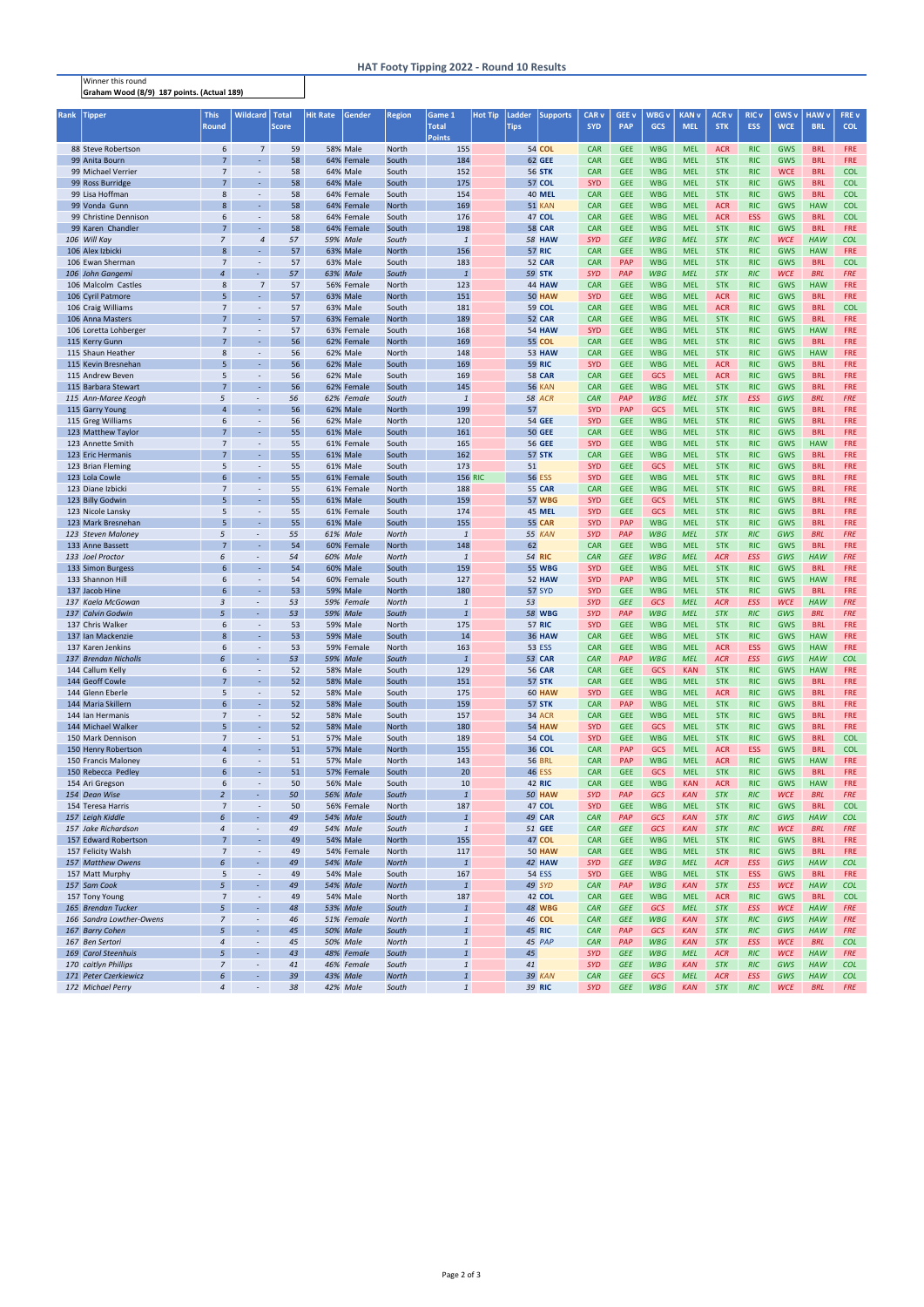Winner this round Graham Wood (8/9) 187 points. (Actual 189)

## HAT Footy Tipping 2022 - Round 10 Results

| <b>Rank</b> | Tipper                                      | <b>This</b>                      | <b>Wildcard</b>                              | Total        | <b>Hit Rate</b> | Gender                        | <b>Region</b>         | Game 1                       | <b>Hot Tip</b> | Ladder      | <b>Supports</b>                | <b>CAR v</b>             | GEE <sub>v</sub>         | WBG v                    | <b>KAN v</b>             | <b>ACR v</b>             | <b>RIC v</b>             | GWS <sub>v</sub>         | <b>HAW</b> v             | FRE v                    |  |
|-------------|---------------------------------------------|----------------------------------|----------------------------------------------|--------------|-----------------|-------------------------------|-----------------------|------------------------------|----------------|-------------|--------------------------------|--------------------------|--------------------------|--------------------------|--------------------------|--------------------------|--------------------------|--------------------------|--------------------------|--------------------------|--|
|             |                                             | <b>Round</b>                     |                                              | <b>Score</b> |                 |                               |                       | <b>Total</b>                 |                | <b>Tips</b> |                                | <b>SYD</b>               | <b>PAP</b>               | <b>GCS</b>               | <b>MEL</b>               | <b>STK</b>               | <b>ESS</b>               | <b>WCE</b>               | <b>BRL</b>               | <b>COL</b>               |  |
|             |                                             |                                  |                                              |              |                 |                               |                       | Points                       |                |             |                                |                          |                          |                          |                          |                          |                          |                          |                          |                          |  |
|             | 88 Steve Robertson                          | 6                                | $\overline{7}$                               | 59           |                 | <b>58% Male</b>               | <b>North</b>          | 155                          |                |             | <b>54 COL</b>                  | <b>CAR</b>               | <b>GEE</b>               | <b>WBG</b>               | <b>MEL</b>               | <b>ACR</b>               | <b>RIC</b>               | <b>GWS</b>               | <b>BRL</b>               | FRE                      |  |
|             | 99 Anita Bourn                              | $\overline{7}$                   | ÷.                                           | 58           |                 | 64% Female                    | South                 | 184                          |                |             | 62 GEE                         | <b>CAR</b>               | <b>GEE</b>               | <b>WBG</b>               | <b>MEL</b>               | <b>STK</b>               | <b>RIC</b>               | <b>GWS</b>               | <b>BRL</b>               | <b>FRE</b>               |  |
|             | 99 Michael Verrier                          | $\overline{7}$<br>$\overline{7}$ | $\overline{\phantom{a}}$                     | 58           |                 | 64% Male<br>64% Male          | South                 | 152                          |                |             | <b>56 STK</b>                  | <b>CAR</b>               | <b>GEE</b>               | <b>WBG</b>               | <b>MEL</b>               | <b>STK</b>               | <b>RIC</b>               | <b>WCE</b>               | <b>BRL</b>               | <b>COL</b>               |  |
|             | 99 Ross Burridge<br>99 Lisa Hoffman         | 8                                | $\blacksquare$<br>$\overline{\phantom{a}}$   | 58<br>58     |                 | 64% Female                    | South<br>South        | 175<br>154                   |                |             | <b>57 COL</b><br><b>40 MEL</b> | <b>SYD</b><br><b>CAR</b> | <b>GEE</b><br><b>GEE</b> | <b>WBG</b><br><b>WBG</b> | <b>MEL</b><br><b>MEL</b> | <b>STK</b><br><b>STK</b> | <b>RIC</b><br><b>RIC</b> | <b>GWS</b><br><b>GWS</b> | <b>BRL</b><br><b>BRL</b> | <b>COL</b><br><b>COL</b> |  |
|             | 99 Vonda Gunn                               | 8                                | ÷.                                           | 58           |                 | 64% Female                    | <b>North</b>          | 169                          |                |             | <b>51 KAN</b>                  | <b>CAR</b>               | <b>GEE</b>               | <b>WBG</b>               | <b>MEL</b>               | <b>ACR</b>               | <b>RIC</b>               | <b>GWS</b>               | <b>HAW</b>               | <b>COL</b>               |  |
|             | 99 Christine Dennison                       | 6                                | $\blacksquare$                               | 58           |                 | 64% Female                    | South                 | 176                          |                |             | 47 COL                         | <b>CAR</b>               | <b>GEE</b>               | <b>WBG</b>               | <b>MEL</b>               | <b>ACR</b>               | <b>ESS</b>               | <b>GWS</b>               | <b>BRL</b>               | <b>COL</b>               |  |
|             | 99 Karen Chandler                           | $\overline{7}$                   | $\omega$                                     | 58           |                 | 64% Female                    | South                 | 198                          |                |             | <b>58 CAR</b>                  | <b>CAR</b>               | <b>GEE</b>               | <b>WBG</b>               | <b>MEL</b>               | <b>STK</b>               | <b>RIC</b>               | <b>GWS</b>               | <b>BRL</b>               | <b>FRE</b>               |  |
|             | 106 Will Kay                                | $\overline{z}$                   | $\overline{4}$                               | 57           |                 | 59% Male                      | South                 | $\mathbf{1}$                 |                |             | <b>58 HAW</b>                  | <b>SYD</b>               | <b>GEE</b>               | <b>WBG</b>               | <b>MEL</b>               | <b>STK</b>               | <b>RIC</b>               | <b>WCE</b>               | <b>HAW</b>               | <b>COL</b>               |  |
|             | 106 Alex Izbicki                            | 8                                | ÷.                                           | 57           |                 | <b>63% Male</b>               | <b>North</b>          | 156                          |                |             | <b>57 RIC</b>                  | <b>CAR</b>               | <b>GEE</b>               | <b>WBG</b>               | <b>MEL</b>               | <b>STK</b>               | <b>RIC</b>               | <b>GWS</b>               | <b>HAW</b>               | <b>FRE</b>               |  |
|             | 106 Ewan Sherman                            | $\overline{7}$                   | $\blacksquare$                               | 57           |                 | <b>63% Male</b>               | South                 | 183                          |                |             | <b>52 CAR</b>                  | <b>CAR</b>               | <b>PAP</b>               | <b>WBG</b>               | <b>MEL</b>               | <b>STK</b>               | <b>RIC</b>               | <b>GWS</b>               | <b>BRL</b>               | <b>COL</b>               |  |
|             | 106 John Gangemi                            | $\overline{4}$                   | $\sim$                                       | 57           |                 | 63% Male                      | South                 | $\mathbf{1}$                 |                |             | <b>59 STK</b>                  | <b>SYD</b>               | PAP                      | <b>WBG</b>               | <b>MEL</b>               | <b>STK</b>               | <b>RIC</b>               | <b>WCE</b>               | <b>BRL</b>               | <b>FRE</b>               |  |
|             | 106 Malcolm Castles                         | 8                                | $\overline{7}$                               | 57           |                 | 56% Female                    | <b>North</b>          | 123                          |                |             | <b>44 HAW</b>                  | <b>CAR</b>               | <b>GEE</b>               | <b>WBG</b>               | <b>MEL</b>               | <b>STK</b>               | <b>RIC</b>               | <b>GWS</b>               | <b>HAW</b>               | <b>FRE</b>               |  |
|             | 106 Cyril Patmore                           | 5                                | $\omega_{\rm c}$                             | 57           |                 | 63% Male                      | <b>North</b>          | 151                          |                |             | <b>50 HAW</b>                  | <b>SYD</b>               | <b>GEE</b>               | <b>WBG</b>               | <b>MEL</b>               | <b>ACR</b>               | <b>RIC</b>               | <b>GWS</b>               | <b>BRL</b>               | <b>FRE</b>               |  |
|             | 106 Craig Williams                          | $\overline{7}$                   | $\blacksquare$                               | 57           |                 | 63% Male                      | South                 | 181                          |                |             | 59 COL                         | <b>CAR</b>               | <b>GEE</b>               | <b>WBG</b>               | <b>MEL</b>               | <b>ACR</b>               | <b>RIC</b>               | <b>GWS</b>               | <b>BRL</b>               | <b>COL</b>               |  |
|             | 106 Anna Masters                            | $7^{\circ}$                      | $\omega$                                     | 57           |                 | 63% Female                    | <b>North</b>          | 189                          |                |             | <b>52 CAR</b>                  | <b>CAR</b>               | <b>GEE</b>               | <b>WBG</b>               | <b>MEL</b>               | <b>STK</b>               | <b>RIC</b>               | <b>GWS</b>               | <b>BRL</b>               | <b>FRE</b>               |  |
|             | 106 Loretta Lohberger                       | $\overline{7}$                   | $\overline{\phantom{a}}$                     | 57           |                 | 63% Female                    | South                 | 168                          |                |             | <b>54 HAW</b>                  | <b>SYD</b>               | <b>GEE</b>               | <b>WBG</b>               | <b>MEL</b>               | <b>STK</b>               | <b>RIC</b>               | <b>GWS</b>               | <b>HAW</b>               | <b>FRE</b>               |  |
|             | 115 Kerry Gunn                              | $\overline{7}$                   | $\blacksquare$                               | 56           |                 | 62% Female                    | <b>North</b>          | 169                          |                |             | <b>55 COL</b>                  | <b>CAR</b>               | <b>GEE</b>               | <b>WBG</b>               | <b>MEL</b>               | <b>STK</b>               | <b>RIC</b>               | <b>GWS</b>               | <b>BRL</b>               | <b>FRE</b>               |  |
|             | 115 Shaun Heather                           | 8<br>5                           | $\overline{\phantom{a}}$                     | 56           |                 | 62% Male                      | <b>North</b>          | 148                          |                |             | <b>53 HAW</b>                  | <b>CAR</b>               | <b>GEE</b>               | <b>WBG</b>               | <b>MEL</b>               | <b>STK</b>               | <b>RIC</b>               | <b>GWS</b>               | <b>HAW</b>               | <b>FRE</b>               |  |
|             | 115 Kevin Bresnehan<br>115 Andrew Beven     | 5                                | $\omega$<br>$\overline{\phantom{a}}$         | 56<br>56     |                 | 62% Male<br>62% Male          | South<br>South        | 169<br>169                   |                |             | <b>59 RIC</b><br><b>58 CAR</b> | <b>SYD</b><br><b>CAR</b> | <b>GEE</b><br><b>GEE</b> | <b>WBG</b><br><b>GCS</b> | <b>MEL</b><br><b>MEL</b> | <b>ACR</b><br><b>ACR</b> | <b>RIC</b><br><b>RIC</b> | <b>GWS</b><br><b>GWS</b> | <b>BRL</b><br><b>BRL</b> | <b>FRE</b><br><b>FRE</b> |  |
|             | 115 Barbara Stewart                         | $\overline{7}$                   | $\blacksquare$                               | 56           |                 | 62% Female                    | South                 | 145                          |                |             | <b>56 KAN</b>                  | <b>CAR</b>               | <b>GEE</b>               | <b>WBG</b>               | <b>MEL</b>               | <b>STK</b>               | <b>RIC</b>               | <b>GWS</b>               | <b>BRL</b>               | <b>FRE</b>               |  |
|             | 115 Ann-Maree Keogh                         | 5                                | $\overline{\phantom{a}}$                     | 56           |                 | 62% Female                    | South                 | $\mathbf{1}$                 |                |             | <b>58 ACR</b>                  | <b>CAR</b>               | PAP                      | <b>WBG</b>               | <b>MEL</b>               | <b>STK</b>               | <b>ESS</b>               | <b>GWS</b>               | <b>BRL</b>               | <b>FRE</b>               |  |
|             | 115 Garry Young                             | $\overline{a}$                   | $\blacksquare$                               | 56           |                 | 62% Male                      | <b>North</b>          | 199                          |                | 57          |                                | <b>SYD</b>               | <b>PAP</b>               | <b>GCS</b>               | <b>MEL</b>               | <b>STK</b>               | <b>RIC</b>               | <b>GWS</b>               | <b>BRL</b>               | <b>FRE</b>               |  |
|             | 115 Greg Williams                           | 6                                | $\blacksquare$                               | 56           |                 | 62% Male                      | <b>North</b>          | 120                          |                |             | <b>54 GEE</b>                  | <b>SYD</b>               | <b>GEE</b>               | <b>WBG</b>               | <b>MEL</b>               | <b>STK</b>               | <b>RIC</b>               | <b>GWS</b>               | <b>BRL</b>               | <b>FRE</b>               |  |
|             | 123 Matthew Taylor                          | $\overline{7}$                   | $\omega$                                     | 55           |                 | 61% Male                      | South                 | 161                          |                |             | <b>50 GEE</b>                  | <b>CAR</b>               | <b>GEE</b>               | <b>WBG</b>               | <b>MEL</b>               | <b>STK</b>               | <b>RIC</b>               | <b>GWS</b>               | <b>BRL</b>               | <b>FRE</b>               |  |
|             | 123 Annette Smith                           | $\overline{7}$                   | $\blacksquare$                               | 55           |                 | 61% Female                    | South                 | 165                          |                |             | <b>56 GEE</b>                  | <b>SYD</b>               | <b>GEE</b>               | <b>WBG</b>               | <b>MEL</b>               | <b>STK</b>               | <b>RIC</b>               | <b>GWS</b>               | <b>HAW</b>               | <b>FRE</b>               |  |
|             | 123 Eric Hermanis                           | $\overline{7}$                   | ÷.                                           | 55           |                 | 61% Male                      | South                 | 162                          |                |             | <b>57 STK</b>                  | <b>CAR</b>               | <b>GEE</b>               | <b>WBG</b>               | <b>MEL</b>               | <b>STK</b>               | <b>RIC</b>               | <b>GWS</b>               | <b>BRL</b>               | <b>FRE</b>               |  |
|             | 123 Brian Fleming                           | 5                                | $\overline{\phantom{a}}$                     | 55           |                 | 61% Male                      | South                 | 173                          |                | 51          |                                | <b>SYD</b>               | <b>GEE</b>               | <b>GCS</b>               | <b>MEL</b>               | <b>STK</b>               | <b>RIC</b>               | <b>GWS</b>               | <b>BRL</b>               | <b>FRE</b>               |  |
|             | 123 Lola Cowle                              | 6                                | $\blacksquare$                               | 55           |                 | 61% Female                    | South                 |                              | <b>156 RIC</b> |             | <b>56 ESS</b>                  | <b>SYD</b>               | <b>GEE</b>               | <b>WBG</b>               | <b>MEL</b>               | <b>STK</b>               | <b>RIC</b>               | <b>GWS</b>               | <b>BRL</b>               | <b>FRE</b>               |  |
|             | 123 Diane Izbicki                           | $\overline{7}$                   | $\overline{\phantom{a}}$                     | 55           |                 | 61% Female                    | <b>North</b>          | 188                          |                |             | <b>55 CAR</b>                  | <b>CAR</b>               | <b>GEE</b>               | <b>WBG</b>               | <b>MEL</b>               | <b>STK</b>               | <b>RIC</b>               | <b>GWS</b>               | <b>BRL</b>               | <b>FRE</b>               |  |
|             | 123 Billy Godwin                            | 5                                | $\omega$                                     | 55           |                 | 61% Male                      | South                 | 159                          |                |             | <b>57 WBG</b>                  | <b>SYD</b>               | <b>GEE</b>               | <b>GCS</b>               | <b>MEL</b>               | <b>STK</b>               | <b>RIC</b>               | <b>GWS</b>               | <b>BRL</b>               | <b>FRE</b>               |  |
|             | 123 Nicole Lansky                           | 5                                | $\blacksquare$                               | 55           |                 | 61% Female                    | South                 | 174                          |                |             | <b>45 MEL</b>                  | <b>SYD</b>               | <b>GEE</b>               | GCS                      | <b>MEL</b>               | <b>STK</b>               | <b>RIC</b>               | <b>GWS</b>               | <b>BRL</b>               | <b>FRE</b>               |  |
|             | 123 Mark Bresnehan                          | 5                                | $\omega$                                     | 55           |                 | 61% Male                      | South                 | 155                          |                |             | <b>55 CAR</b>                  | <b>SYD</b>               | <b>PAP</b>               | <b>WBG</b>               | <b>MEL</b>               | <b>STK</b>               | <b>RIC</b>               | <b>GWS</b>               | <b>BRL</b>               | <b>FRE</b>               |  |
|             | 123 Steven Maloney                          | 5                                | $\overline{\phantom{a}}$                     | 55           |                 | 61% Male                      | <b>North</b>          | $\mathbf{1}$                 |                |             | <b>55 KAN</b>                  | <b>SYD</b>               | PAP                      | <b>WBG</b>               | <b>MEL</b>               | <b>STK</b>               | <b>RIC</b>               | <b>GWS</b>               | <b>BRL</b>               | <b>FRE</b>               |  |
|             | 133 Anne Bassett                            | $\overline{7}$                   | ÷,                                           | 54           |                 | 60% Female                    | <b>North</b>          | 148                          |                | 62          |                                | <b>CAR</b>               | <b>GEE</b>               | <b>WBG</b>               | <b>MEL</b>               | <b>STK</b>               | <b>RIC</b>               | <b>GWS</b>               | <b>BRL</b>               | <b>FRE</b>               |  |
|             | 133 Joel Proctor                            | 6                                | $\sim$                                       | 54           |                 | 60% Male                      | <b>North</b>          | $\mathbf{1}$                 |                |             | <b>54 RIC</b>                  | <b>CAR</b>               | <b>GEE</b>               | <b>WBG</b>               | <b>MEL</b>               | <b>ACR</b>               | <b>ESS</b>               | <b>GWS</b>               | <b>HAW</b>               | <b>FRE</b>               |  |
|             | 133 Simon Burgess                           | 6                                | $\blacksquare$                               | 54           |                 | <b>60% Male</b>               | South                 | 159                          |                |             | <b>55 WBG</b>                  | <b>SYD</b>               | <b>GEE</b>               | <b>WBG</b>               | <b>MEL</b>               | <b>STK</b>               | <b>RIC</b>               | <b>GWS</b>               | <b>BRL</b>               | <b>FRE</b>               |  |
|             | 133 Shannon Hill                            | 6                                | $\blacksquare$                               | 54           |                 | 60% Female                    | South                 | 127                          |                |             | <b>52 HAW</b>                  | <b>SYD</b>               | <b>PAP</b>               | <b>WBG</b>               | <b>MEL</b>               | <b>STK</b>               | <b>RIC</b>               | <b>GWS</b>               | <b>HAW</b>               | <b>FRE</b>               |  |
|             | 137 Jacob Hine                              | 6<br>3                           | ÷.                                           | 53           |                 | <b>59% Male</b>               | <b>North</b>          | 180<br>$\overline{1}$        |                |             | <b>57 SYD</b>                  | <b>SYD</b><br><b>SYD</b> | <b>GEE</b><br><b>GEE</b> | <b>WBG</b><br><b>GCS</b> | <b>MEL</b><br><b>MEL</b> | <b>STK</b><br><b>ACR</b> | <b>RIC</b><br><b>ESS</b> | <b>GWS</b><br><b>WCE</b> | <b>BRL</b><br><b>HAW</b> | <b>FRE</b><br><b>FRE</b> |  |
|             | 137 Kaela McGowan<br>137 Calvin Godwin      | 5                                | $\overline{\phantom{a}}$                     | 53<br>53     |                 | 59% Female<br><b>59% Male</b> | <b>North</b><br>South | $\mathbf{1}$                 |                | 53          | <b>58 WBG</b>                  | <b>SYD</b>               | PAP                      | <b>WBG</b>               | <b>MEL</b>               | <b>STK</b>               | <b>RIC</b>               | <b>GWS</b>               | <b>BRL</b>               | <b>FRE</b>               |  |
|             | 137 Chris Walker                            | 6                                | $\overline{\phantom{a}}$                     | 53           |                 | 59% Male                      | North                 | 175                          |                |             | <b>57 RIC</b>                  | <b>SYD</b>               | <b>GEE</b>               | <b>WBG</b>               | <b>MEL</b>               | <b>STK</b>               | <b>RIC</b>               | <b>GWS</b>               | <b>BRL</b>               | <b>FRE</b>               |  |
|             | 137 Ian Mackenzie                           | 8                                | ÷.                                           | 53           |                 | <b>59% Male</b>               | South                 | 14                           |                |             | <b>36 HAW</b>                  | <b>CAR</b>               | <b>GEE</b>               | <b>WBG</b>               | <b>MEL</b>               | <b>STK</b>               | <b>RIC</b>               | <b>GWS</b>               | <b>HAW</b>               | <b>FRE</b>               |  |
|             | 137 Karen Jenkins                           | 6                                | $\overline{\phantom{a}}$                     | 53           |                 | 59% Female                    | <b>North</b>          | 163                          |                |             | <b>53 ESS</b>                  | <b>CAR</b>               | <b>GEE</b>               | <b>WBG</b>               | <b>MEL</b>               | <b>ACR</b>               | <b>ESS</b>               | <b>GWS</b>               | <b>HAW</b>               | <b>FRE</b>               |  |
|             | 137 Brendan Nicholls                        | 6                                | $\sim$                                       | 53           |                 | <b>59% Male</b>               | South                 | $\mathbf{1}$                 |                |             | <b>53 CAR</b>                  | <b>CAR</b>               | PAP                      | <b>WBG</b>               | <b>MEL</b>               | <b>ACR</b>               | <b>ESS</b>               | <b>GWS</b>               | <b>HAW</b>               | <b>COL</b>               |  |
|             | 144 Callum Kelly                            | 6                                | $\blacksquare$                               | 52           |                 | <b>58% Male</b>               | South                 | 129                          |                |             | <b>56 CAR</b>                  | <b>CAR</b>               | <b>GEE</b>               | <b>GCS</b>               | <b>KAN</b>               | <b>STK</b>               | <b>RIC</b>               | <b>GWS</b>               | <b>HAW</b>               | <b>FRE</b>               |  |
|             | 144 Geoff Cowle                             | $\overline{7}$                   | $\omega_{\rm c}$                             | 52           |                 | <b>58% Male</b>               | South                 | 151                          |                |             | 57 STK                         | <b>CAR</b>               | <b>GEE</b>               | <b>WBG</b>               | <b>MEL</b>               | <b>STK</b>               | <b>RIC</b>               | <b>GWS</b>               | <b>BRL</b>               | <b>FRE</b>               |  |
|             | 144 Glenn Eberle                            | 5                                | $\overline{\phantom{a}}$                     | 52           |                 | <b>58% Male</b>               | South                 | 175                          |                |             | <b>60 HAW</b>                  | <b>SYD</b>               | <b>GEE</b>               | <b>WBG</b>               | <b>MEL</b>               | <b>ACR</b>               | <b>RIC</b>               | <b>GWS</b>               | <b>BRL</b>               | <b>FRE</b>               |  |
|             | 144 Maria Skillern                          | $6\overline{6}$                  | $\omega$                                     | 52           |                 | <b>58% Male</b>               | South                 | 159                          |                |             | 57 STK                         | <b>CAR</b>               | <b>PAP</b>               | <b>WBG</b>               | <b>MEL</b>               | <b>STK</b>               | <b>RIC</b>               | <b>GWS</b>               | <b>BRL</b>               | <b>FRE</b>               |  |
|             | 144 Ian Hermanis                            | $\overline{7}$                   | $\overline{\phantom{a}}$                     | 52           |                 | <b>58% Male</b>               | South                 | 157                          |                |             | <b>34 ACR</b>                  | <b>CAR</b>               | <b>GEE</b>               | <b>WBG</b>               | <b>MEL</b>               | <b>STK</b>               | <b>RIC</b>               | <b>GWS</b>               | <b>BRL</b>               | FRE                      |  |
|             | 144 Michael Walker                          | 5                                | $\blacksquare$                               | 52           |                 | <b>58% Male</b>               | <b>North</b>          | 180                          |                |             | <b>54 HAW</b>                  | <b>SYD</b>               | <b>GEE</b>               | <b>GCS</b>               | <b>MEL</b>               | <b>STK</b>               | <b>RIC</b>               | <b>GWS</b>               | <b>BRL</b>               | <b>FRE</b>               |  |
|             | 150 Mark Dennison                           | $\overline{7}$                   | $\overline{\phantom{a}}$                     | 51           |                 | <b>57% Male</b>               | South                 | 189                          |                |             | 54 COL                         | <b>SYD</b>               | <b>GEE</b>               | <b>WBG</b>               | <b>MEL</b>               | <b>STK</b>               | <b>RIC</b>               | <b>GWS</b>               | <b>BRL</b>               | <b>COL</b>               |  |
|             | 150 Henry Robertson                         | $\overline{4}$                   | $\omega$                                     | 51           |                 | <b>57% Male</b>               | <b>North</b>          | 155                          |                |             | 36 COL                         | <b>CAR</b>               | PAP                      | <b>GCS</b>               | <b>MEL</b>               | <b>ACR</b>               | <b>ESS</b>               | <b>GWS</b>               | <b>BRL</b>               | <b>COL</b>               |  |
|             | 150 Francis Maloney<br>150 Rebecca Pedley   | 6<br>6                           | $\overline{\phantom{a}}$<br>$\omega_{\rm c}$ | 51<br>51     |                 | <b>57% Male</b><br>57% Female | <b>North</b><br>South | 143<br>20                    |                |             | <b>56 BRL</b><br><b>46 ESS</b> | <b>CAR</b><br><b>CAR</b> | <b>PAP</b><br><b>GEE</b> | <b>WBG</b><br><b>GCS</b> | <b>MEL</b><br><b>MEL</b> | <b>ACR</b><br><b>STK</b> | <b>RIC</b><br><b>RIC</b> | <b>GWS</b><br><b>GWS</b> | <b>HAW</b><br><b>BRL</b> | <b>FRE</b><br>FRE        |  |
|             | 154 Ari Gregson                             | 6                                | $\overline{\phantom{a}}$                     | 50           |                 | 56% Male                      | South                 | 10                           |                |             | <b>42 RIC</b>                  | <b>CAR</b>               | <b>GEE</b>               | <b>WBG</b>               | <b>KAN</b>               | <b>ACR</b>               | <b>RIC</b>               | <b>GWS</b>               | <b>HAW</b>               | <b>FRE</b>               |  |
|             | 154 Dean Wise                               | $\overline{2}$                   | $\sim$                                       | 50           |                 | <b>56% Male</b>               | South                 | $\mathbf{1}$                 |                |             | <b>50 HAW</b>                  | <b>SYD</b>               | PAP                      | <b>GCS</b>               | <b>KAN</b>               | <b>STK</b>               | <b>RIC</b>               | <b>WCE</b>               | <b>BRL</b>               | <b>FRE</b>               |  |
|             | 154 Teresa Harris                           | $\overline{7}$                   | ◆                                            | 50           |                 | 56% Female                    | North                 | 187                          |                |             | 47 COL                         | <b>SYD</b>               | <b>GEE</b>               | <b>WBG</b>               | <b>MEL</b>               | <b>STK</b>               | <b>RIC</b>               | <b>GWS</b>               | <b>BRL</b>               | <b>COL</b>               |  |
|             | 157 Leigh Kiddle                            | 6                                | $\omega$                                     | 49           |                 | <b>54% Male</b>               | South                 | $\mathbf{1}$                 |                |             | <b>49 CAR</b>                  | <b>CAR</b>               | PAP                      | <b>GCS</b>               | <b>KAN</b>               | <b>STK</b>               | <b>RIC</b>               | <b>GWS</b>               | <b>HAW</b>               | <b>COL</b>               |  |
|             | 157 Jake Richardson                         | $\overline{4}$                   | $\equiv$                                     | 49           |                 | 54% Male                      | South                 | $\mathbf{1}$                 |                |             | 51 GEE                         | <b>CAR</b>               | <b>GEE</b>               | <b>GCS</b>               | <b>KAN</b>               | <b>STK</b>               | RIC                      | <b>WCE</b>               | <b>BRL</b>               | <b>FRE</b>               |  |
|             | 157 Edward Robertson                        | $\overline{7}$                   | ÷.                                           | 49           |                 | <b>54% Male</b>               | <b>North</b>          | 155                          |                |             | 47 COL                         | <b>CAR</b>               | <b>GEE</b>               | <b>WBG</b>               | <b>MEL</b>               | <b>STK</b>               | <b>RIC</b>               | <b>GWS</b>               | <b>BRL</b>               | <b>FRE</b>               |  |
|             | 157 Felicity Walsh                          | $\overline{7}$                   | $\overline{\phantom{a}}$                     | 49           |                 | 54% Female                    | North                 | 117                          |                |             | <b>50 HAW</b>                  | <b>CAR</b>               | <b>GEE</b>               | <b>WBG</b>               | <b>MEL</b>               | <b>STK</b>               | <b>RIC</b>               | <b>GWS</b>               | <b>BRL</b>               | <b>FRE</b>               |  |
|             | 157 Matthew Owens                           | 6                                | $\sim$                                       | 49           |                 | <b>54% Male</b>               | <b>North</b>          | $\mathbf{1}$                 |                |             | <b>42 HAW</b>                  | <b>SYD</b>               | <b>GEE</b>               | <b>WBG</b>               | <b>MEL</b>               | <b>ACR</b>               | <b>ESS</b>               | <b>GWS</b>               | <b>HAW</b>               | <b>COL</b>               |  |
|             | 157 Matt Murphy                             | 5                                | $\blacksquare$                               | 49           |                 | 54% Male                      | South                 | 167                          |                |             | <b>54 ESS</b>                  | <b>SYD</b>               | <b>GEE</b>               | <b>WBG</b>               | <b>MEL</b>               | <b>STK</b>               | <b>ESS</b>               | <b>GWS</b>               | <b>BRL</b>               | <b>FRE</b>               |  |
|             | 157 Sam Cook                                | 5                                | $\omega$                                     | 49           |                 | <b>54% Male</b>               | <b>North</b>          | $\mathbf{1}$                 |                |             | 49 SYD                         | <b>CAR</b>               | PAP                      | <b>WBG</b>               | <b>KAN</b>               | <b>STK</b>               | <b>ESS</b>               | <b>WCE</b>               | <b>HAW</b>               | <b>COL</b>               |  |
|             | 157 Tony Young                              | $\overline{7}$                   | $\sim$                                       | 49           |                 | 54% Male                      | North                 | 187                          |                |             | 42 COL                         | <b>CAR</b>               | <b>GEE</b>               | <b>WBG</b>               | <b>MEL</b>               | <b>ACR</b>               | <b>RIC</b>               | <b>GWS</b>               | <b>BRL</b>               | <b>COL</b>               |  |
|             | 165 Brendan Tucker                          | 5                                | $\sim$                                       | 48           |                 | 53% Male                      | South                 | $\mathbf{1}$                 |                |             | <b>48 WBG</b>                  | <b>CAR</b>               | <b>GEE</b>               | <b>GCS</b>               | <b>MEL</b>               | <b>STK</b>               | ESS                      | <b>WCE</b>               | <b>HAW</b>               | <b>FRE</b>               |  |
|             | 166 Sandra Lowther-Owens                    | $\overline{z}$                   | $\overline{\phantom{a}}$                     | 46           |                 | 51% Female                    | <b>North</b>          | $\mathbf{1}$                 |                |             | <b>46 COL</b>                  | <b>CAR</b>               | <b>GEE</b>               | <b>WBG</b>               | <b>KAN</b>               | <b>STK</b>               | <b>RIC</b>               | GWS                      | <b>HAW</b>               | <b>FRE</b>               |  |
|             | 167 Barry Cohen                             | 5                                | $\sim$                                       | 45           |                 | <b>50% Male</b>               | South                 | $\mathbf{1}$                 |                |             | <b>45 RIC</b>                  | <b>CAR</b>               | PAP                      | <b>GCS</b>               | <b>KAN</b>               | <b>STK</b>               | <b>RIC</b>               | <b>GWS</b>               | <b>HAW</b>               | <b>FRE</b>               |  |
|             | 167 Ben Sertori                             | 4                                | $\sim$                                       | 45           |                 | <b>50% Male</b>               | <b>North</b>          | $\mathbf{1}$                 |                |             | 45 PAP                         | <b>CAR</b>               | PAP                      | <b>WBG</b>               | <b>KAN</b>               | <b>STK</b>               | <b>ESS</b>               | <b>WCE</b>               | <b>BRL</b>               | <b>COL</b>               |  |
|             | 169 Carol Steenhuis<br>170 caitlyn Phillips | 5<br>$\overline{7}$              | $\sim$<br>$\sim$                             | 43<br>41     |                 | 48% Female<br>46% Female      | South<br>South        | $\mathbf{1}$<br>$\mathbf{1}$ |                | 45<br>41    |                                | <b>SYD</b><br><b>SYD</b> | <b>GEE</b><br><b>GEE</b> | <b>WBG</b><br><b>WBG</b> | <b>MEL</b><br><b>KAN</b> | <b>ACR</b><br><b>STK</b> | <b>RIC</b><br><b>RIC</b> | <b>WCE</b><br><b>GWS</b> | <b>HAW</b><br><b>HAW</b> | <b>FRE</b><br><b>COL</b> |  |
|             | 171 Peter Czerkiewicz                       | 6                                | ÷                                            | 39           |                 | 43% Male                      | <b>North</b>          | $\mathbf{1}$                 |                |             | <b>39 KAN</b>                  | <b>CAR</b>               | <b>GEE</b>               | <b>GCS</b>               | <b>MEL</b>               | <b>ACR</b>               | <b>ESS</b>               | <b>GWS</b>               | <b>HAW</b>               | <b>COL</b>               |  |
|             | 172 Michael Perry                           | 4                                |                                              | 38           |                 | 42% Male                      | South                 | $\mathbf{1}$                 |                |             | 39 RIC                         | <b>SYD</b>               | <b>GEE</b>               | <b>WBG</b>               | <b>KAN</b>               | <b>STK</b>               | <b>RIC</b>               | <b>WCE</b>               | <b>BRL</b>               | <b>FRE</b>               |  |
|             |                                             |                                  |                                              |              |                 |                               |                       |                              |                |             |                                |                          |                          |                          |                          |                          |                          |                          |                          |                          |  |